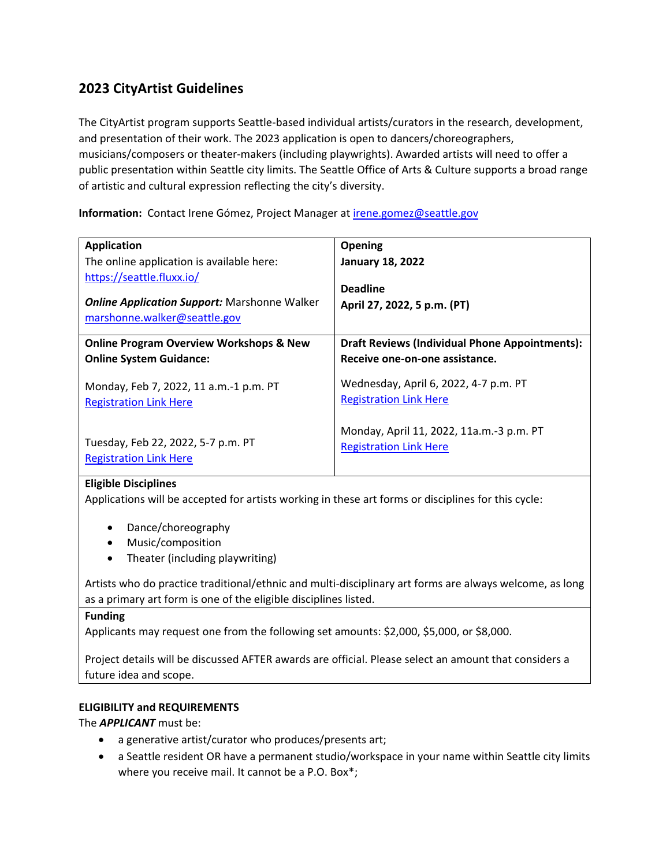# **2023 CityArtist Guidelines**

The CityArtist program supports Seattle-based individual artists/curators in the research, development, and presentation of their work. The 2023 application is open to dancers/choreographers, musicians/composers or theater-makers (including playwrights). Awarded artists will need to offer a public presentation within Seattle city limits. The Seattle Office of Arts & Culture supports a broad range of artistic and cultural expression reflecting the city's diversity.

**Information:** Contact Irene Gómez, Project Manager at **[irene.gomez@seattle.gov](mailto:irene.gomez@seattle.gov)** 

| <b>Application</b><br>The online application is available here:<br>https://seattle.fluxx.io/<br><b>Online Application Support: Marshonne Walker</b><br>marshonne.walker@seattle.gov | <b>Opening</b><br><b>January 18, 2022</b><br><b>Deadline</b><br>April 27, 2022, 5 p.m. (PT) |
|-------------------------------------------------------------------------------------------------------------------------------------------------------------------------------------|---------------------------------------------------------------------------------------------|
| <b>Online Program Overview Workshops &amp; New</b>                                                                                                                                  | <b>Draft Reviews (Individual Phone Appointments):</b>                                       |
| <b>Online System Guidance:</b>                                                                                                                                                      | Receive one-on-one assistance.                                                              |
| Monday, Feb 7, 2022, 11 a.m.-1 p.m. PT                                                                                                                                              | Wednesday, April 6, 2022, 4-7 p.m. PT                                                       |
| <b>Registration Link Here</b>                                                                                                                                                       | <b>Registration Link Here</b>                                                               |
| Tuesday, Feb 22, 2022, 5-7 p.m. PT                                                                                                                                                  | Monday, April 11, 2022, 11a.m.-3 p.m. PT                                                    |
| <b>Registration Link Here</b>                                                                                                                                                       | <b>Registration Link Here</b>                                                               |

### **Eligible Disciplines**

Applications will be accepted for artists working in these art forms or disciplines for this cycle:

- Dance/choreography
- Music/composition
- Theater (including playwriting)

Artists who do practice traditional/ethnic and multi-disciplinary art forms are always welcome, as long as a primary art form is one of the eligible disciplines listed.

### **Funding**

Applicants may request one from the following set amounts: \$2,000, \$5,000, or \$8,000.

Project details will be discussed AFTER awards are official. Please select an amount that considers a future idea and scope.

### **ELIGIBILITY and REQUIREMENTS**

The *APPLICANT* must be:

- a generative artist/curator who produces/presents art;
- a Seattle resident OR have a permanent studio/workspace in your name within Seattle city limits where you receive mail. It cannot be a P.O. Box\*;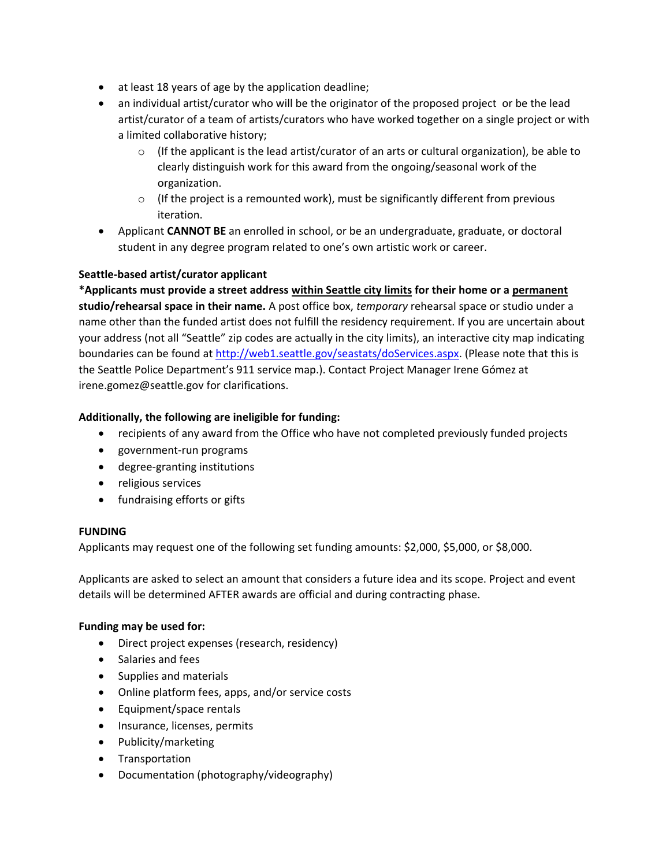- at least 18 years of age by the application deadline;
- an individual artist/curator who will be the originator of the proposed project or be the lead artist/curator of a team of artists/curators who have worked together on a single project or with a limited collaborative history;
	- $\circ$  (If the applicant is the lead artist/curator of an arts or cultural organization), be able to clearly distinguish work for this award from the ongoing/seasonal work of the organization.
	- $\circ$  (If the project is a remounted work), must be significantly different from previous iteration.
- Applicant **CANNOT BE** an enrolled in school, or be an undergraduate, graduate, or doctoral student in any degree program related to one's own artistic work or career.

# **Seattle-based artist/curator applicant**

**\*Applicants must provide a street address within Seattle city limits for their home or a permanent studio/rehearsal space in their name.** A post office box, *temporary* rehearsal space or studio under a name other than the funded artist does not fulfill the residency requirement. If you are uncertain about your address (not all "Seattle" zip codes are actually in the city limits), an interactive city map indicating boundaries can be found at [http://web1.seattle.gov/seastats/doServices.aspx.](http://web1.seattle.gov/seastats/doServices.aspx) (Please note that this is the Seattle Police Department's 911 service map.). Contact Project Manager Irene Gómez at irene.gomez@seattle.gov for clarifications.

# **Additionally, the following are ineligible for funding:**

- recipients of any award from the Office who have not completed previously funded projects
- government-run programs
- degree-granting institutions
- religious services
- fundraising efforts or gifts

# **FUNDING**

Applicants may request one of the following set funding amounts: \$2,000, \$5,000, or \$8,000.

Applicants are asked to select an amount that considers a future idea and its scope. Project and event details will be determined AFTER awards are official and during contracting phase.

# **Funding may be used for:**

- Direct project expenses (research, residency)
- Salaries and fees
- Supplies and materials
- Online platform fees, apps, and/or service costs
- Equipment/space rentals
- Insurance, licenses, permits
- Publicity/marketing
- Transportation
- Documentation (photography/videography)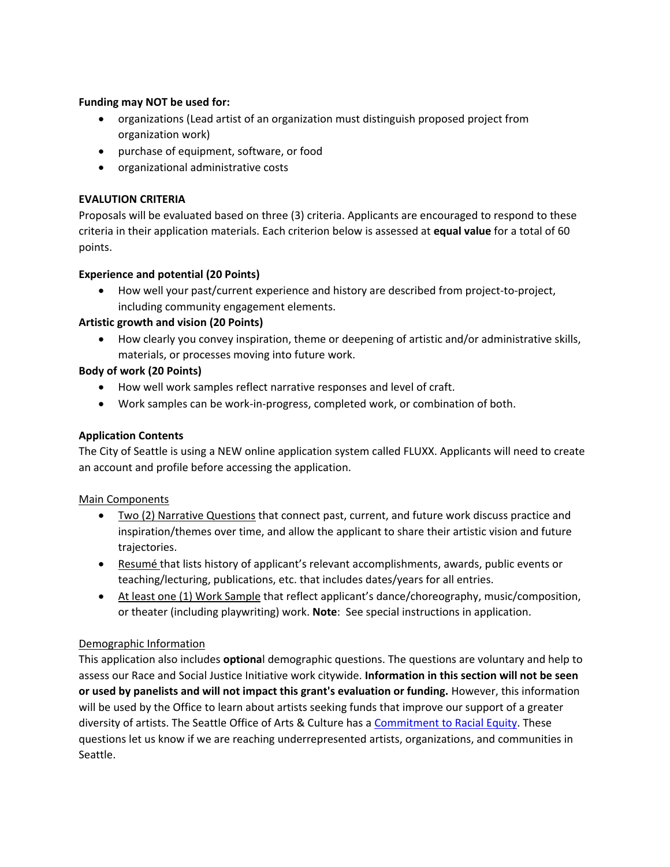# **Funding may NOT be used for:**

- organizations (Lead artist of an organization must distinguish proposed project from organization work)
- purchase of equipment, software, or food
- organizational administrative costs

# **EVALUTION CRITERIA**

Proposals will be evaluated based on three (3) criteria. Applicants are encouraged to respond to these criteria in their application materials. Each criterion below is assessed at **equal value** for a total of 60 points.

# **Experience and potential (20 Points)**

• How well your past/current experience and history are described from project-to-project, including community engagement elements.

# **Artistic growth and vision (20 Points)**

• How clearly you convey inspiration, theme or deepening of artistic and/or administrative skills, materials, or processes moving into future work.

# **Body of work (20 Points)**

- How well work samples reflect narrative responses and level of craft.
- Work samples can be work-in-progress, completed work, or combination of both.

## **Application Contents**

The City of Seattle is using a NEW online application system called FLUXX. Applicants will need to create an account and profile before accessing the application.

### Main Components

- Two (2) Narrative Questions that connect past, current, and future work discuss practice and inspiration/themes over time, and allow the applicant to share their artistic vision and future trajectories.
- Resumé that lists history of applicant's relevant accomplishments, awards, public events or teaching/lecturing, publications, etc. that includes dates/years for all entries.
- At least one (1) Work Sample that reflect applicant's dance/choreography, music/composition, or theater (including playwriting) work. **Note**: See special instructions in application.

### Demographic Information

This application also includes **optiona**l demographic questions. The questions are voluntary and help to assess our Race and Social Justice Initiative work citywide. **Information in this section will not be seen or used by panelists and will not impact this grant's evaluation or funding.** However, this information will be used by the Office to learn about artists seeking funds that improve our support of a greater diversity of artists. The Seattle Office of Arts & Culture has a [Commitment to Racial Equity.](http://www.seattle.gov/arts/programs/racial-equity) These questions let us know if we are reaching underrepresented artists, organizations, and communities in Seattle.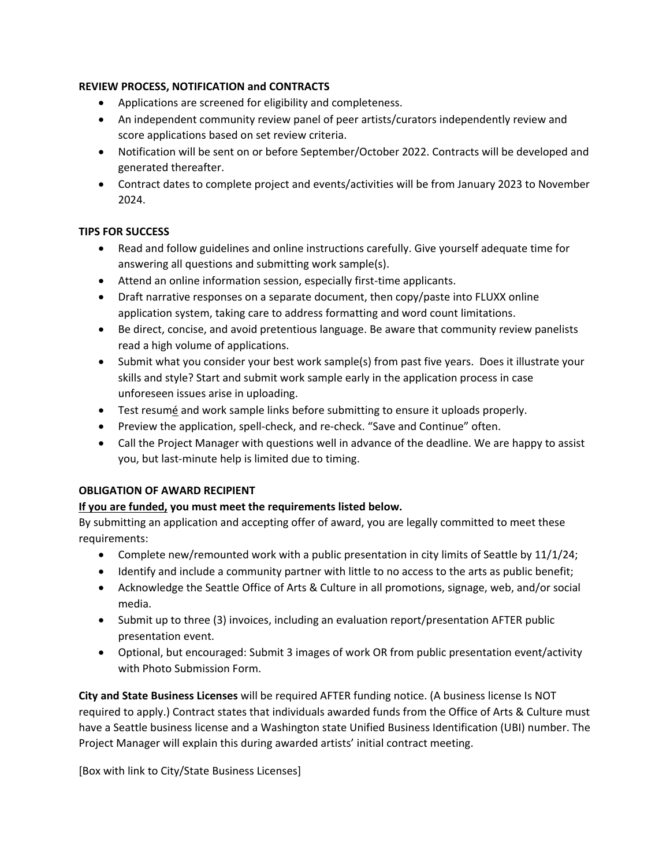# **REVIEW PROCESS, NOTIFICATION and CONTRACTS**

- Applications are screened for eligibility and completeness.
- An independent community review panel of peer artists/curators independently review and score applications based on set review criteria.
- Notification will be sent on or before September/October 2022. Contracts will be developed and generated thereafter.
- Contract dates to complete project and events/activities will be from January 2023 to November 2024.

# **TIPS FOR SUCCESS**

- Read and follow guidelines and online instructions carefully. Give yourself adequate time for answering all questions and submitting work sample(s).
- Attend an online information session, especially first-time applicants.
- Draft narrative responses on a separate document, then copy/paste into FLUXX online application system, taking care to address formatting and word count limitations.
- Be direct, concise, and avoid pretentious language. Be aware that community review panelists read a high volume of applications.
- Submit what you consider your best work sample(s) from past five years. Does it illustrate your skills and style? Start and submit work sample early in the application process in case unforeseen issues arise in uploading.
- Test resumé and work sample links before submitting to ensure it uploads properly.
- Preview the application, spell-check, and re-check. "Save and Continue" often.
- Call the Project Manager with questions well in advance of the deadline. We are happy to assist you, but last-minute help is limited due to timing.

### **OBLIGATION OF AWARD RECIPIENT**

### **If you are funded, you must meet the requirements listed below.**

By submitting an application and accepting offer of award, you are legally committed to meet these requirements:

- Complete new/remounted work with a public presentation in city limits of Seattle by 11/1/24;
- Identify and include a community partner with little to no access to the arts as public benefit;
- Acknowledge the Seattle Office of Arts & Culture in all promotions, signage, web, and/or social media.
- Submit up to three (3) invoices, including an evaluation report/presentation AFTER public presentation event.
- Optional, but encouraged: Submit 3 images of work OR from public presentation event/activity with Photo Submission Form.

**City and State Business Licenses** will be required AFTER funding notice. (A business license Is NOT required to apply.) Contract states that individuals awarded funds from the Office of Arts & Culture must have a Seattle business license and a Washington state Unified Business Identification (UBI) number. The Project Manager will explain this during awarded artists' initial contract meeting.

[Box with link to City/State Business Licenses]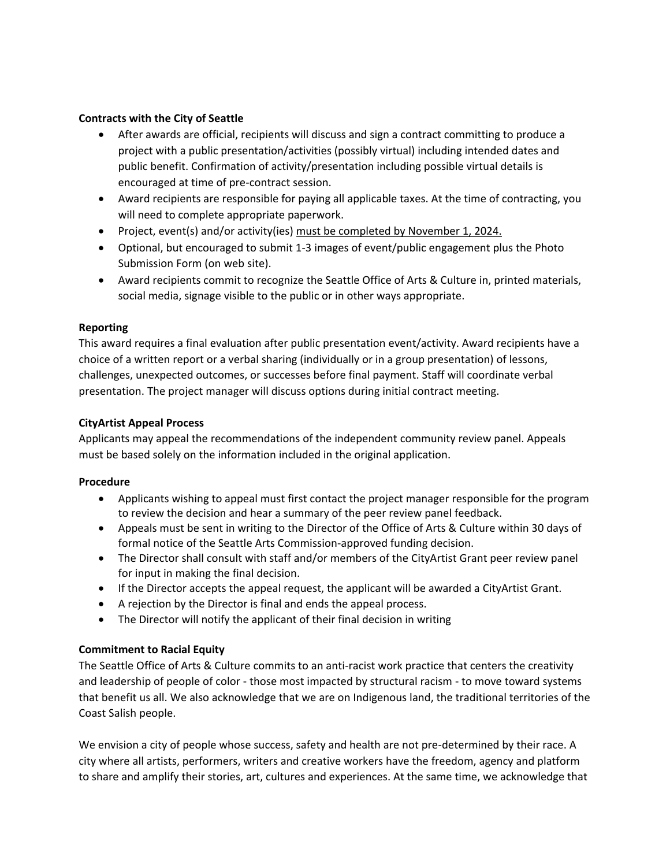## **Contracts with the City of Seattle**

- After awards are official, recipients will discuss and sign a contract committing to produce a project with a public presentation/activities (possibly virtual) including intended dates and public benefit. Confirmation of activity/presentation including possible virtual details is encouraged at time of pre-contract session.
- Award recipients are responsible for paying all applicable taxes. At the time of contracting, you will need to complete appropriate paperwork.
- Project, event(s) and/or activity(ies) must be completed by November 1, 2024.
- Optional, but encouraged to submit 1-3 images of event/public engagement plus the Photo Submission Form (on web site).
- Award recipients commit to recognize the Seattle Office of Arts & Culture in, printed materials, social media, signage visible to the public or in other ways appropriate.

### **Reporting**

This award requires a final evaluation after public presentation event/activity. Award recipients have a choice of a written report or a verbal sharing (individually or in a group presentation) of lessons, challenges, unexpected outcomes, or successes before final payment. Staff will coordinate verbal presentation. The project manager will discuss options during initial contract meeting.

# **CityArtist Appeal Process**

Applicants may appeal the recommendations of the independent community review panel. Appeals must be based solely on the information included in the original application.

### **Procedure**

- Applicants wishing to appeal must first contact the project manager responsible for the program to review the decision and hear a summary of the peer review panel feedback.
- Appeals must be sent in writing to the Director of the Office of Arts & Culture within 30 days of formal notice of the Seattle Arts Commission-approved funding decision.
- The Director shall consult with staff and/or members of the CityArtist Grant peer review panel for input in making the final decision.
- If the Director accepts the appeal request, the applicant will be awarded a CityArtist Grant.
- A rejection by the Director is final and ends the appeal process.
- The Director will notify the applicant of their final decision in writing

# **Commitment to Racial Equity**

The Seattle Office of Arts & Culture commits to an anti-racist work practice that centers the creativity and leadership of people of color - those most impacted by structural racism - to move toward systems that benefit us all. We also acknowledge that we are on Indigenous land, the traditional territories of the Coast Salish people.

We envision a city of people whose success, safety and health are not pre-determined by their race. A city where all artists, performers, writers and creative workers have the freedom, agency and platform to share and amplify their stories, art, cultures and experiences. At the same time, we acknowledge that